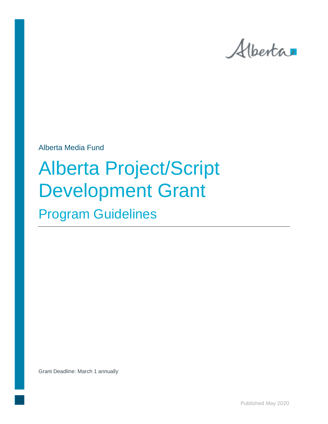

Alberta Media Fund

# Alberta Project/Script Development Grant

Program Guidelines

Grant Deadline: March 1 annually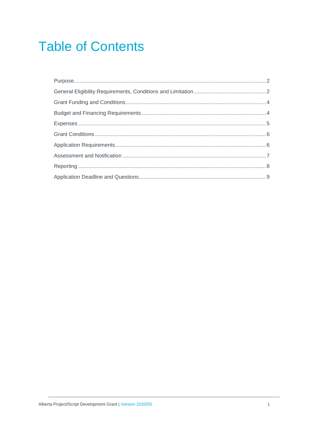# **Table of Contents**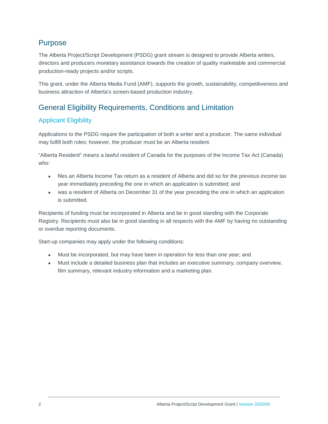## <span id="page-2-0"></span>Purpose

The Alberta Project/Script Development (PSDG) grant stream is designed to provide Alberta writers, directors and producers monetary assistance towards the creation of quality marketable and commercial production-ready projects and/or scripts.

This grant, under the Alberta Media Fund (AMF), supports the growth, sustainability, competitiveness and business attraction of Alberta's screen-based production industry.

# <span id="page-2-1"></span>General Eligibility Requirements, Conditions and Limitation

#### Applicant Eligibility

Applications to the PSDG require the participation of both a writer and a producer. The same individual may fulfill both roles; however, the producer must be an Alberta resident.

"Alberta Resident" means a lawful resident of Canada for the purposes of the Income Tax Act (Canada) who:

- files an Alberta Income Tax return as a resident of Alberta and did so for the previous income tax year immediately preceding the one in which an application is submitted; and
- was a resident of Alberta on December 31 of the year preceding the one in which an application is submitted.

Recipients of funding must be incorporated in Alberta and be in good standing with the Corporate Registry. Recipients must also be in good standing in all respects with the AMF by having no outstanding or overdue reporting documents.

Start-up companies may apply under the following conditions:

- Must be incorporated, but may have been in operation for less than one year; and
- Must include a detailed business plan that includes an executive summary, company overview, film summary, relevant industry information and a marketing plan.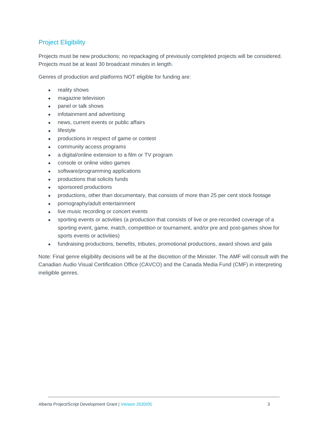#### Project Eligibility

Projects must be new productions; no repackaging of previously completed projects will be considered. Projects must be at least 30 broadcast minutes in length.

Genres of production and platforms NOT eligible for funding are:

- reality shows
- magazine television
- panel or talk shows
- infotainment and advertising
- news, current events or public affairs
- lifestyle
- productions in respect of game or contest
- community access programs
- a digital/online extension to a film or TV program
- console or online video games
- software/programming applications
- productions that solicits funds
- sponsored productions
- productions, other than documentary, that consists of more than 25 per cent stock footage
- pornography/adult entertainment
- live music recording or concert events
- sporting events or activities (a production that consists of live or pre-recorded coverage of a sporting event, game, match, competition or tournament, and/or pre and post-games show for sports events or activities)
- fundraising productions, benefits, tributes, promotional productions, award shows and gala

Note: Final genre eligibility decisions will be at the discretion of the Minister. The AMF will consult with the Canadian Audio Visual Certification Office (CAVCO) and the Canada Media Fund (CMF) in interpreting ineligible genres.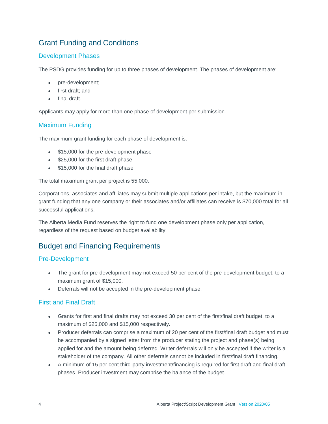# <span id="page-4-0"></span>Grant Funding and Conditions

#### Development Phases

The PSDG provides funding for up to three phases of development. The phases of development are:

- pre-development;
- first draft; and
- final draft.

Applicants may apply for more than one phase of development per submission.

#### Maximum Funding

The maximum grant funding for each phase of development is:

- \$15,000 for the pre-development phase
- \$25,000 for the first draft phase
- \$15,000 for the final draft phase

The total maximum grant per project is 55,000.

Corporations, associates and affiliates may submit multiple applications per intake, but the maximum in grant funding that any one company or their associates and/or affiliates can receive is \$70,000 total for all successful applications.

The Alberta Media Fund reserves the right to fund one development phase only per application, regardless of the request based on budget availability.

## <span id="page-4-1"></span>Budget and Financing Requirements

#### Pre-Development

- The grant for pre-development may not exceed 50 per cent of the pre-development budget, to a maximum grant of \$15,000.
- Deferrals will not be accepted in the pre-development phase.

#### First and Final Draft

- Grants for first and final drafts may not exceed 30 per cent of the first/final draft budget, to a maximum of \$25,000 and \$15,000 respectively.
- Producer deferrals can comprise a maximum of 20 per cent of the first/final draft budget and must be accompanied by a signed letter from the producer stating the project and phase(s) being applied for and the amount being deferred. Writer deferrals will only be accepted if the writer is a stakeholder of the company. All other deferrals cannot be included in first/final draft financing.
- A minimum of 15 per cent third-party investment/financing is required for first draft and final draft phases. Producer investment may comprise the balance of the budget.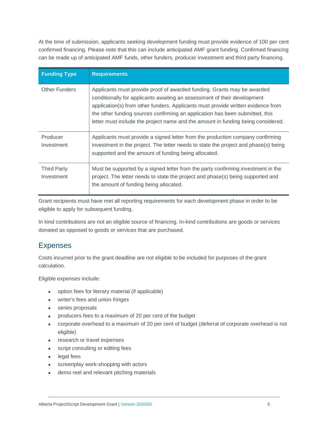At the time of submission, applicants seeking development funding must provide evidence of 100 per cent confirmed financing. Please note that this can include anticipated AMF grant funding. Confirmed financing can be made up of anticipated AMF funds, other funders, producer investment and third party financing.

| <b>Funding Type</b>              | <b>Requirements</b>                                                                                                                                                                                                                                                                                                                                                                                         |
|----------------------------------|-------------------------------------------------------------------------------------------------------------------------------------------------------------------------------------------------------------------------------------------------------------------------------------------------------------------------------------------------------------------------------------------------------------|
| <b>Other Funders</b>             | Applicants must provide proof of awarded funding. Grants may be awarded<br>conditionally for applicants awaiting an assessment of their development<br>application(s) from other funders. Applicants must provide written evidence from<br>the other funding sources confirming an application has been submitted, this<br>letter must include the project name and the amount in funding being considered. |
| Producer<br>Investment           | Applicants must provide a signed letter from the production company confirming<br>investment in the project. The letter needs to state the project and phase(s) being<br>supported and the amount of funding being allocated.                                                                                                                                                                               |
| <b>Third Party</b><br>Investment | Must be supported by a signed letter from the party confirming investment in the<br>project. The letter needs to state the project and phase(s) being supported and<br>the amount of funding being allocated.                                                                                                                                                                                               |

Grant recipients must have met all reporting requirements for each development phase in order to be eligible to apply for subsequent funding.

In kind contributions are not an eligible source of financing. In-kind contributions are goods or services donated as opposed to goods or services that are purchased.

# <span id="page-5-0"></span>Expenses

Costs incurred prior to the grant deadline are not eligible to be included for purposes of the grant calculation.

Eligible expenses include:

- option fees for literary material (if applicable)
- writer's fees and union fringes
- series proposals
- producers fees to a maximum of 20 per cent of the budget
- corporate overhead to a maximum of 20 per cent of budget (deferral of corporate overhead is not eligible)
- research or travel expenses
- script consulting or editing fees
- legal fees
- screenplay work-shopping with actors
- demo reel and relevant pitching materials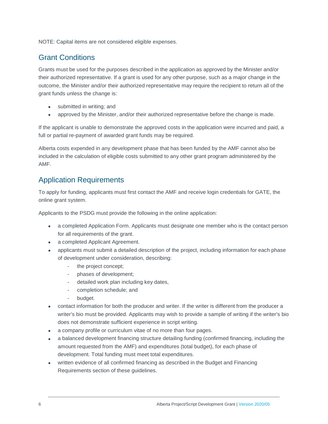NOTE: Capital items are not considered eligible expenses.

## <span id="page-6-0"></span>Grant Conditions

Grants must be used for the purposes described in the application as approved by the Minister and/or their authorized representative. If a grant is used for any other purpose, such as a major change in the outcome, the Minister and/or their authorized representative may require the recipient to return all of the grant funds unless the change is:

- submitted in writing; and
- approved by the Minister, and/or their authorized representative before the change is made.

If the applicant is unable to demonstrate the approved costs in the application were incurred and paid, a full or partial re-payment of awarded grant funds may be required.

Alberta costs expended in any development phase that has been funded by the AMF cannot also be included in the calculation of eligible costs submitted to any other grant program administered by the AMF.

## <span id="page-6-1"></span>Application Requirements

To apply for funding, applicants must first contact the AMF and receive login credentials for GATE, the online grant system.

Applicants to the PSDG must provide the following in the online application:

- a completed Application Form. Applicants must designate one member who is the contact person for all requirements of the grant.
- a completed Applicant Agreement.
- applicants must submit a detailed description of the project, including information for each phase of development under consideration, describing:
	- the project concept;
	- phases of development;
	- detailed work plan including key dates,
	- completion schedule; and
	- budget.
- contact information for both the producer and writer. If the writer is different from the producer a writer's bio must be provided. Applicants may wish to provide a sample of writing if the writer's bio does not demonstrate sufficient experience in script writing.
- a company profile or curriculum vitae of no more than four pages.
- a balanced development financing structure detailing funding (confirmed financing, including the amount requested from the AMF) and expenditures (total budget), for each phase of development. Total funding must meet total expenditures.
- written evidence of all confirmed financing as described in the Budget and Financing Requirements section of these guidelines.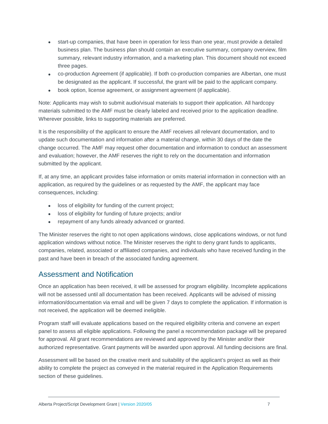- start-up companies, that have been in operation for less than one year, must provide a detailed business plan. The business plan should contain an executive summary, company overview, film summary, relevant industry information, and a marketing plan. This document should not exceed three pages.
- co-production Agreement (if applicable). If both co-production companies are Albertan, one must be designated as the applicant. If successful, the grant will be paid to the applicant company.
- book option, license agreement, or assignment agreement (if applicable).

Note: Applicants may wish to submit audio/visual materials to support their application. All hardcopy materials submitted to the AMF must be clearly labeled and received prior to the application deadline. Wherever possible, links to supporting materials are preferred.

It is the responsibility of the applicant to ensure the AMF receives all relevant documentation, and to update such documentation and information after a material change, within 30 days of the date the change occurred. The AMF may request other documentation and information to conduct an assessment and evaluation; however, the AMF reserves the right to rely on the documentation and information submitted by the applicant.

If, at any time, an applicant provides false information or omits material information in connection with an application, as required by the guidelines or as requested by the AMF, the applicant may face consequences, including:

- loss of eligibility for funding of the current project;
- loss of eligibility for funding of future projects; and/or
- repayment of any funds already advanced or granted.

The Minister reserves the right to not open applications windows, close applications windows, or not fund application windows without notice. The Minister reserves the right to deny grant funds to applicants, companies, related, associated or affiliated companies, and individuals who have received funding in the past and have been in breach of the associated funding agreement.

#### <span id="page-7-0"></span>Assessment and Notification

Once an application has been received, it will be assessed for program eligibility. Incomplete applications will not be assessed until all documentation has been received. Applicants will be advised of missing information/documentation via email and will be given 7 days to complete the application. If information is not received, the application will be deemed ineligible.

Program staff will evaluate applications based on the required eligibility criteria and convene an expert panel to assess all eligible applications. Following the panel a recommendation package will be prepared for approval. All grant recommendations are reviewed and approved by the Minister and/or their authorized representative. Grant payments will be awarded upon approval. All funding decisions are final.

Assessment will be based on the creative merit and suitability of the applicant's project as well as their ability to complete the project as conveyed in the material required in the Application Requirements section of these guidelines.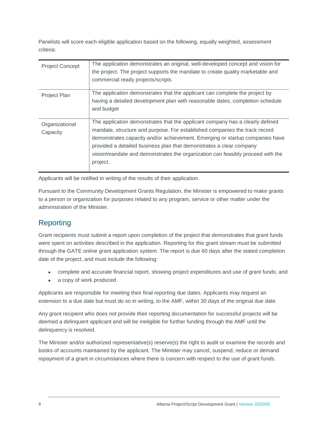Panelists will score each eligible application based on the following, equally weighted, assessment criteria:

| <b>Project Concept</b>     | The application demonstrates an original, well-developed concept and vision for<br>the project. The project supports the mandate to create quality marketable and<br>commercial ready projects/scripts |
|----------------------------|--------------------------------------------------------------------------------------------------------------------------------------------------------------------------------------------------------|
| Project Plan               | The application demonstrates that the applicant can complete the project by                                                                                                                            |
|                            | having a detailed development plan with reasonable dates, completion schedule                                                                                                                          |
|                            | and budget                                                                                                                                                                                             |
| Organizational<br>Capacity | The application demonstrates that the applicant company has a clearly defined                                                                                                                          |
|                            | mandate, structure and purpose. For established companies the track record                                                                                                                             |
|                            | demonstrates capacity and/or achievement. Emerging or startup companies have                                                                                                                           |
|                            | provided a detailed business plan that demonstrates a clear company                                                                                                                                    |
|                            | vision/mandate and demonstrates the organization can feasibly proceed with the                                                                                                                         |
|                            | project.                                                                                                                                                                                               |

Applicants will be notified in writing of the results of their application.

Pursuant to the Community Development Grants Regulation, the Minister is empowered to make grants to a person or organization for purposes related to any program, service or other matter under the administration of the Minister.

# <span id="page-8-0"></span>Reporting

Grant recipients must submit a report upon completion of the project that demonstrates that grant funds were spent on activities described in the application. Reporting for this grant stream must be submitted through the GATE online grant application system. The report is due 60 days after the stated completion date of the project, and must include the following:

- complete and accurate financial report, showing project expenditures and use of grant funds; and
- a copy of work produced.

Applicants are responsible for meeting their final reporting due dates. Applicants may request an extension to a due date but must do so in writing, to the AMF, within 30 days of the original due date.

Any grant recipient who does not provide their reporting documentation for successful projects will be deemed a delinquent applicant and will be ineligible for further funding through the AMF until the delinquency is resolved.

The Minister and/or authorized representative(s) reserve(s) the right to audit or examine the records and books of accounts maintained by the applicant. The Minister may cancel, suspend, reduce or demand repayment of a grant in circumstances where there is concern with respect to the use of grant funds.